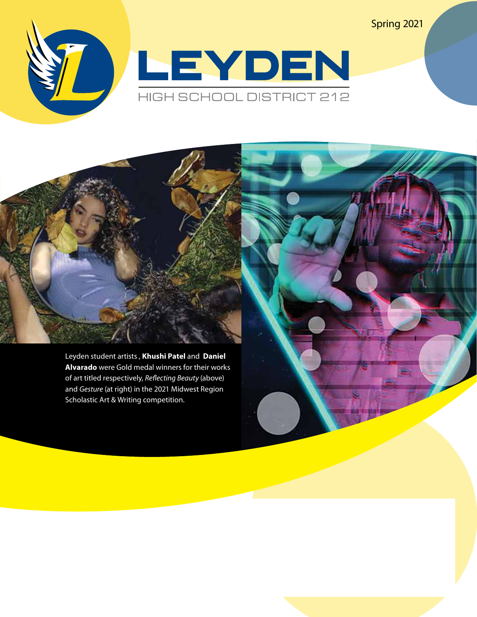LEYDEN HIGH SCHOOL DISTRICT 212

Spring 2021

Leyden student artists , **Khushi Patel** and **Daniel Alvarado** were Gold medal winners for their works of art titled respectively, *Reflecting Beauty* (above) and *Gesture* (at right) in the 2021 Midwest Region Scholastic Art & Writing competition.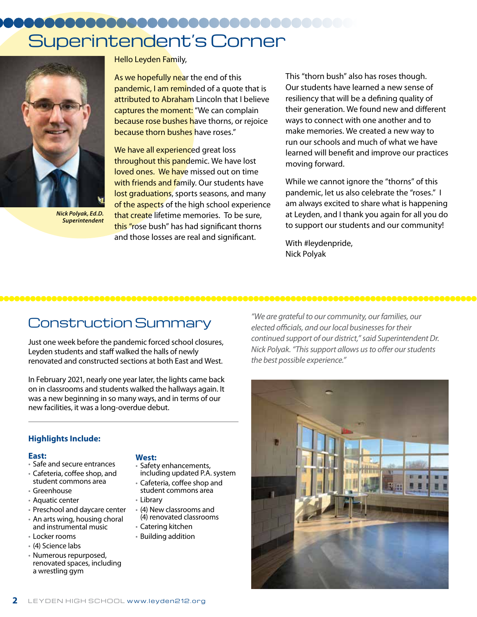# Superintendent's Corner



*Nick Polyak, Ed.D. Superintendent*

Hello Leyden Family,

As we hopefully near the end of this pandemic, I am reminded of a quote that is attributed to Abraham Lincoln that I believe captures the moment: "We can complain **because rose bushes h**ave thorns, or rejoice because thorn bushes have roses."

We have all experienced great loss throughout this pandemic. We have lost loved ones. We have missed out on time with friends and family. Our students have lost graduations, sports seasons, and many of the aspects of the high school experience that create lifetime memories. To be sure, this "rose bush" has had significant thorns and those losses are real and significant.

This "thorn bush" also has roses though. Our students have learned a new sense of resiliency that will be a defining quality of their generation. We found new and different ways to connect with one another and to make memories. We created a new way to run our schools and much of what we have learned will benefit and improve our practices moving forward.

While we cannot ignore the "thorns" of this pandemic, let us also celebrate the "roses." I am always excited to share what is happening at Leyden, and I thank you again for all you do to support our students and our community!

With #leydenpride, Nick Polyak

## Construction Summary

Just one week before the pandemic forced school closures, Leyden students and staff walked the halls of newly renovated and constructed sections at both East and West.

In February 2021, nearly one year later, the lights came back on in classrooms and students walked the hallways again. It was a new beginning in so many ways, and in terms of our new facilities, it was a long-overdue debut.

## **Highlights Include:**

#### **East:**

- Safe and secure entrances • Cafeteria, coffee shop, and
- student commons area • Greenhouse
- 
- Aquatic center
- Preschool and daycare center
- An arts wing, housing choral and instrumental music
- Locker rooms
- (4) Science labs
- Numerous repurposed, renovated spaces, including a wrestling gym

#### **West:**

- Safety enhancements,
- including updated P.A. system
- Cafeteria, coffee shop and student commons area
- Library
- (4) New classrooms and (4) renovated classrooms
- Catering kitchen
- Building addition

*"We are grateful to our community, our families, our elected officials, and our local businesses for their continued support of our district," said Superintendent Dr. Nick Polyak. "This support allows us to offer our students the best possible experience."*

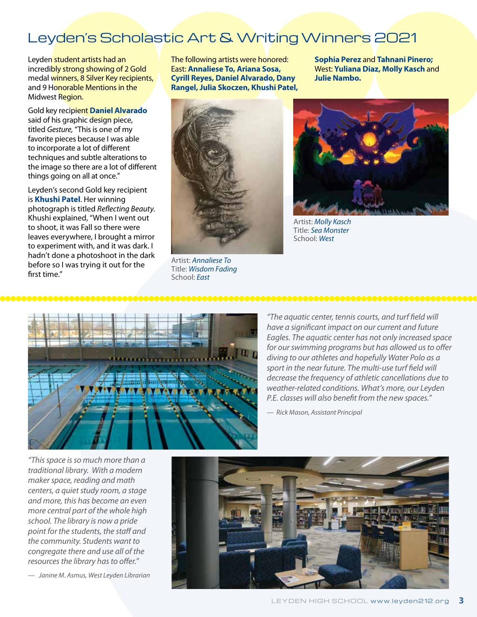## Leyden's Scholastic Art & Writing Winners 2021

Leyden student artists had an incredibly strong showing of 2 Gold medal winners, 8 Silver Key recipients, and 9 Honorable Mentions in the Midwest Region.

Gold key recipient **Daniel Alvarado** said of his graphic design piece, titled *Gesture,* "This is one of my favorite pieces because I was able to incorporate a lot of different techniques and subtle alterations to the image so there are a lot of different things going on all at once."

Leyden's second Gold key recipient is **Khushi Patel**. Her winning photograph is titled *Reflecting Beauty*. Khushi explained, "When I went out to shoot, it was Fall so there were leaves everywhere, I brought a mirror to experiment with, and it was dark. I hadn't done a photoshoot in the dark before so I was trying it out for the first time."

The following artists were honored: East: **Annaliese To, Ariana Sosa, Cyrill Reyes, Daniel Alvarado, Dany Rangel, Julia Skoczen, Khushi Patel,**  **Sophia Perez** and **Tahnani Pinero;**  West: **Yuliana Diaz, Molly Kasch** and **Julie Nambo.**



Artist: *Annaliese To* Title: *Wisdom Fading*  School: *East*



Artist: *Molly Kasch* Title: *Sea Monster*  School: *West*



*"The aquatic center, tennis courts, and turf field will have a significant impact on our current and future Eagles. The aquatic center has not only increased space for our swimming programs but has allowed us to offer diving to our athletes and hopefully Water Polo as a sport in the near future. The multi-use turf field will decrease the frequency of athletic cancellations due to weather-related conditions. What's more, our Leyden P.E. classes will also benefit from the new spaces."*

*— Rick Mason, Assistant Principal*

*"This space is so much more than a traditional library. With a modern maker space, reading and math centers, a quiet study room, a stage and more, this has become an even more central part of the whole high school. The library is now a pride point for the students, the staff and the community. Students want to congregate there and use all of the resources the library has to offer."*

*— Janine M. Asmus, West Leyden Librarian* 

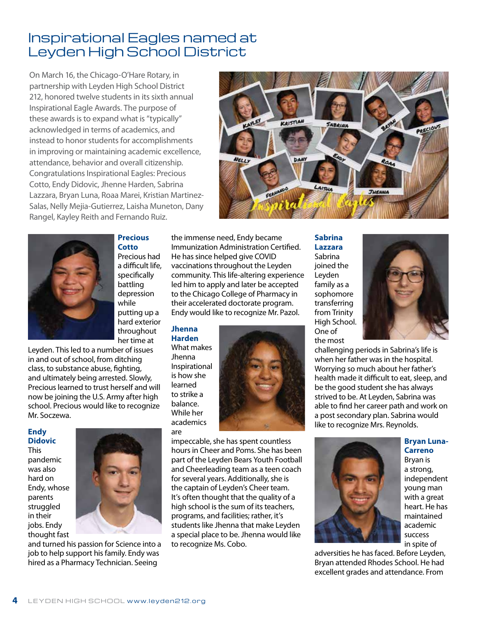## Inspirational Eagles named at Leyden High School District

On March 16, the Chicago-O'Hare Rotary, in partnership with Leyden High School District 212, honored twelve students in its sixth annual Inspirational Eagle Awards. The purpose of these awards is to expand what is "typically" acknowledged in terms of academics, and instead to honor students for accomplishments in improving or maintaining academic excellence, attendance, behavior and overall citizenship. Congratulations Inspirational Eagles: Precious Cotto, Endy Didovic, Jhenne Harden, Sabrina Lazzara, Bryan Luna, Roaa Marei, Kristian Martinez-Salas, Nelly Mejia-Gutierrez, Laisha Muneton, Dany Rangel, Kayley Reith and Fernando Ruiz.





**Precious Cotto** Precious had a difficult life, specifically battling depression while putting up a

hard exterior throughout

her time at Leyden. This led to a number of issues in and out of school, from ditching class, to substance abuse, fighting, and ultimately being arrested. Slowly, Precious learned to trust herself and will now be joining the U.S. Army after high school. Precious would like to recognize Mr. Soczewa.

## **Endy Didovic**

This pandemic was also hard on Endy, whose parents struggled in their jobs. Endy thought fast



and turned his passion for Science into a job to help support his family. Endy was hired as a Pharmacy Technician. Seeing

the immense need, Endy became Immunization Administration Certified. He has since helped give COVID vaccinations throughout the Leyden community. This life-altering experience led him to apply and later be accepted to the Chicago College of Pharmacy in their accelerated doctorate program. Endy would like to recognize Mr. Pazol.

## **Jhenna Harden**

What makes Jhenna Inspirational is how she learned to strike a balance. While her academics are



impeccable, she has spent countless hours in Cheer and Poms. She has been part of the Leyden Bears Youth Football and Cheerleading team as a teen coach for several years. Additionally, she is the captain of Leyden's Cheer team. It's often thought that the quality of a high school is the sum of its teachers, programs, and facilities; rather, it's students like Jhenna that make Leyden a special place to be. Jhenna would like to recognize Ms. Cobo.

**Sabrina Lazzara** Sabrina joined the Leyden family as a sophomore transferring from Trinity High School. One of the most



challenging periods in Sabrina's life is when her father was in the hospital. Worrying so much about her father's health made it difficult to eat, sleep, and be the good student she has always strived to be. At Leyden, Sabrina was able to find her career path and work on a post secondary plan. Sabrina would like to recognize Mrs. Reynolds.



**Bryan Luna-Carreno**

Bryan is a strong, independent young man with a great heart. He has maintained academic success in spite of

adversities he has faced. Before Leyden, Bryan attended Rhodes School. He had excellent grades and attendance. From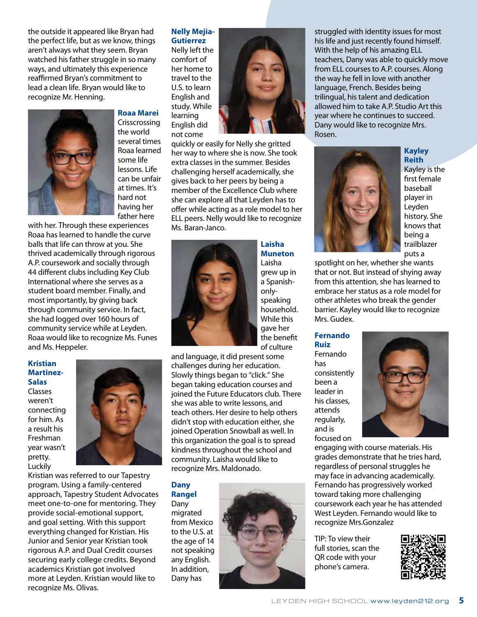the outside it appeared like Bryan had the perfect life, but as we know, things aren't always what they seem. Bryan watched his father struggle in so many ways, and ultimately this experience reaffirmed Bryan's commitment to lead a clean life. Bryan would like to recognize Mr. Henning.



## **Roaa Marei**

Crisscrossing the world several times Roaa learned some life lessons. Life can be unfair at times. It's hard not having her father here

with her. Through these experiences Roaa has learned to handle the curve balls that life can throw at you. She thrived academically through rigorous A.P. coursework and socially through 44 different clubs including Key Club International where she serves as a student board member. Finally, and most importantly, by giving back through community service. In fact, she had logged over 160 hours of community service while at Leyden. Roaa would like to recognize Ms. Funes and Ms. Heppeler.

**Kristian Martinez-Salas**

Classes weren't connecting for him. As a result his Freshman year wasn't pretty. Luckily



Kristian was referred to our Tapestry program. Using a family-centered approach, Tapestry Student Advocates meet one-to-one for mentoring. They provide social-emotional support, and goal setting. With this support everything changed for Kristian. His Junior and Senior year Kristian took rigorous A.P. and Dual Credit courses securing early college credits. Beyond academics Kristian got involved more at Leyden. Kristian would like to recognize Ms. Olivas.

#### **Nelly Mejia-Gutierrez**

Nelly left the comfort of her home to travel to the U.S. to learn English and study. While learning English did not come



quickly or easily for Nelly she gritted her way to where she is now. She took extra classes in the summer. Besides challenging herself academically, she gives back to her peers by being a member of the Excellence Club where she can explore all that Leyden has to offer while acting as a role model to her ELL peers. Nelly would like to recognize Ms. Baran-Janco.



**Laisha Muneton** Laisha grew up in a Spanishonlyspeaking household. While this gave her the benefit of culture

and language, it did present some challenges during her education. Slowly things began to "click." She began taking education courses and joined the Future Educators club. There she was able to write lessons, and teach others. Her desire to help others didn't stop with education either, she joined Operation Snowball as well. In this organization the goal is to spread kindness throughout the school and community. Laisha would like to recognize Mrs. Maldonado.

## **Dany Rangel**

Dany migrated from Mexico to the U.S. at the age of 14 not speaking any English. In addition, Dany has



struggled with identity issues for most his life and just recently found himself. With the help of his amazing ELL teachers, Dany was able to quickly move from ELL courses to A.P. courses. Along the way he fell in love with another language, French. Besides being trilingual, his talent and dedication allowed him to take A.P. Studio Art this year where he continues to succeed. Dany would like to recognize Mrs. Rosen.



**Kayley Reith** Kayley is the first female baseball player in Leyden history. She knows that being a trailblazer puts a

spotlight on her, whether she wants that or not. But instead of shying away from this attention, she has learned to embrace her status as a role model for other athletes who break the gender barrier. Kayley would like to recognize Mrs. Gudex.

**Fernando Ruiz** Fernando has consistently been a leader in his classes, attends regularly, and is focused on



engaging with course materials. His grades demonstrate that he tries hard, regardless of personal struggles he may face in advancing academically. Fernando has progressively worked toward taking more challenging coursework each year he has attended West Leyden. Fernando would like to recognize Mrs.Gonzalez

TIP: To view their full stories, scan the QR code with your phone's camera.